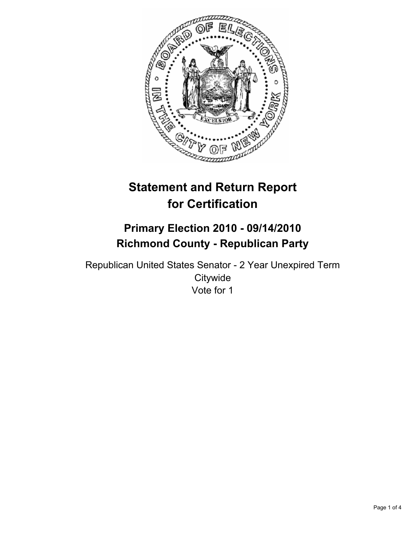

# **Statement and Return Report for Certification**

## **Primary Election 2010 - 09/14/2010 Richmond County - Republican Party**

Republican United States Senator - 2 Year Unexpired Term **Citywide** Vote for 1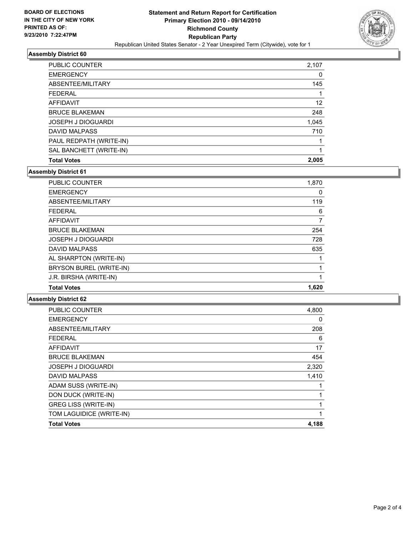

#### **Assembly District 60**

| <b>PUBLIC COUNTER</b>     | 2,107 |
|---------------------------|-------|
| <b>EMERGENCY</b>          | 0     |
| ABSENTEE/MILITARY         | 145   |
| <b>FEDERAL</b>            |       |
| <b>AFFIDAVIT</b>          | 12    |
| <b>BRUCE BLAKEMAN</b>     | 248   |
| <b>JOSEPH J DIOGUARDI</b> | 1,045 |
| <b>DAVID MALPASS</b>      | 710   |
| PAUL REDPATH (WRITE-IN)   |       |
| SAL BANCHETT (WRITE-IN)   |       |
| <b>Total Votes</b>        | 2,005 |

#### **Assembly District 61**

| PUBLIC COUNTER            | 1,870 |
|---------------------------|-------|
| <b>EMERGENCY</b>          | 0     |
| ABSENTEE/MILITARY         | 119   |
| <b>FEDERAL</b>            | 6     |
| AFFIDAVIT                 | 7     |
| <b>BRUCE BLAKEMAN</b>     | 254   |
| <b>JOSEPH J DIOGUARDI</b> | 728   |
| <b>DAVID MALPASS</b>      | 635   |
| AL SHARPTON (WRITE-IN)    |       |
| BRYSON BUREL (WRITE-IN)   |       |
| J.R. BIRSHA (WRITE-IN)    | 1     |
| <b>Total Votes</b>        | 1.620 |

### **Assembly District 62**

| <b>Total Votes</b>          | 4,188 |
|-----------------------------|-------|
| TOM LAGUIDICE (WRITE-IN)    | 1     |
| <b>GREG LISS (WRITE-IN)</b> | 1     |
| DON DUCK (WRITE-IN)         |       |
| ADAM SUSS (WRITE-IN)        |       |
| <b>DAVID MALPASS</b>        | 1,410 |
| <b>JOSEPH J DIOGUARDI</b>   | 2,320 |
| <b>BRUCE BLAKEMAN</b>       | 454   |
| AFFIDAVIT                   | 17    |
| <b>FEDERAL</b>              | 6     |
| ABSENTEE/MILITARY           | 208   |
| <b>EMERGENCY</b>            | 0     |
| <b>PUBLIC COUNTER</b>       | 4,800 |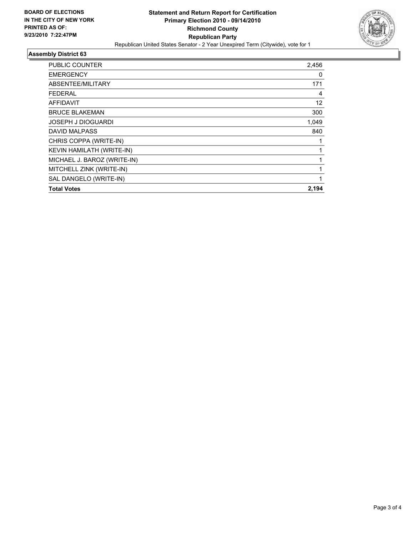

#### **Assembly District 63**

| PUBLIC COUNTER              | 2,456 |
|-----------------------------|-------|
| <b>EMERGENCY</b>            | 0     |
| ABSENTEE/MILITARY           | 171   |
| FEDERAL                     | 4     |
| <b>AFFIDAVIT</b>            | 12    |
| <b>BRUCE BLAKEMAN</b>       | 300   |
| <b>JOSEPH J DIOGUARDI</b>   | 1,049 |
| <b>DAVID MALPASS</b>        | 840   |
| CHRIS COPPA (WRITE-IN)      | 1     |
| KEVIN HAMILATH (WRITE-IN)   |       |
| MICHAEL J. BAROZ (WRITE-IN) | 1     |
| MITCHELL ZINK (WRITE-IN)    | 1     |
| SAL DANGELO (WRITE-IN)      | 1     |
| <b>Total Votes</b>          | 2,194 |